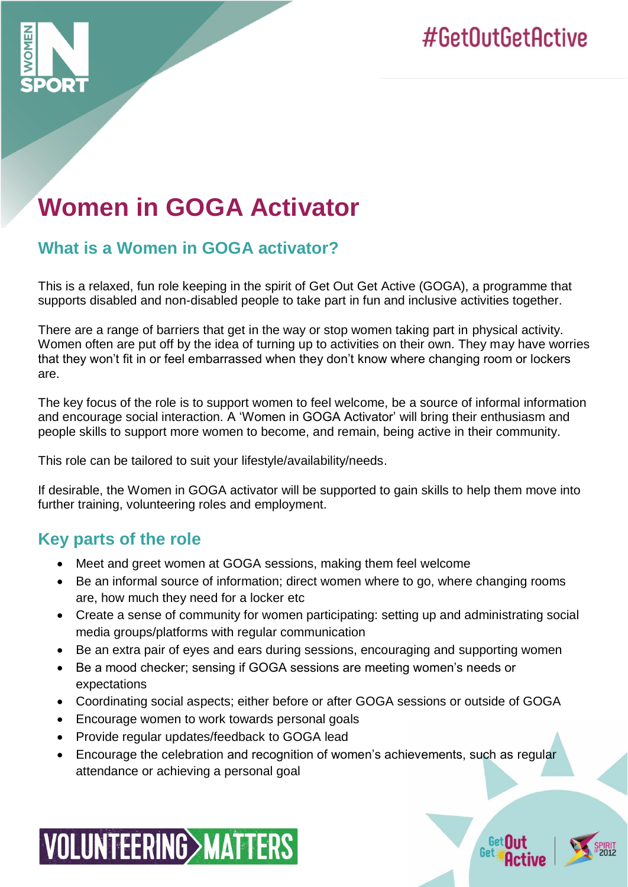

# **Women in GOGA Activator**

# **What is a Women in GOGA activator?**

This is a relaxed, fun role keeping in the spirit of Get Out Get Active (GOGA), a programme that supports disabled and non-disabled people to take part in fun and inclusive activities together.

There are a range of barriers that get in the way or stop women taking part in physical activity. Women often are put off by the idea of turning up to activities on their own. They may have worries that they won't fit in or feel embarrassed when they don't know where changing room or lockers are.

The key focus of the role is to support women to feel welcome, be a source of informal information and encourage social interaction. A 'Women in GOGA Activator' will bring their enthusiasm and people skills to support more women to become, and remain, being active in their community.

This role can be tailored to suit your lifestyle/availability/needs.

If desirable, the Women in GOGA activator will be supported to gain skills to help them move into further training, volunteering roles and employment.

# **Key parts of the role**

- Meet and greet women at GOGA sessions, making them feel welcome
- Be an informal source of information; direct women where to go, where changing rooms are, how much they need for a locker etc
- Create a sense of community for women participating: setting up and administrating social media groups/platforms with regular communication
- Be an extra pair of eyes and ears during sessions, encouraging and supporting women
- Be a mood checker; sensing if GOGA sessions are meeting women's needs or expectations
- Coordinating social aspects; either before or after GOGA sessions or outside of GOGA
- Encourage women to work towards personal goals
- Provide regular updates/feedback to GOGA lead
- Encourage the celebration and recognition of women's achievements, such as regular attendance or achieving a personal goal